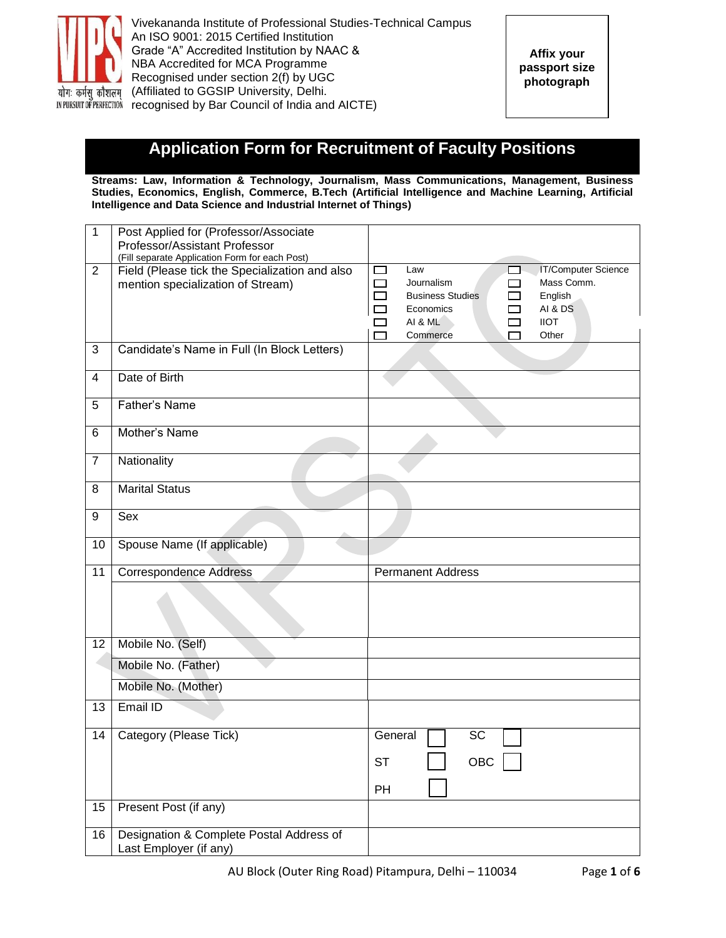

# **Application Form for Recruitment of Faculty Positions**

**Streams: Law, Information & Technology, Journalism, Mass Communications, Management, Business Studies, Economics, English, Commerce, B.Tech (Artificial Intelligence and Machine Learning, Artificial Intelligence and Data Science and Industrial Internet of Things)**

| 1              | Post Applied for (Professor/Associate<br>Professor/Assistant Professor |                                                   |
|----------------|------------------------------------------------------------------------|---------------------------------------------------|
|                | (Fill separate Application Form for each Post)                         |                                                   |
| $\overline{2}$ | Field (Please tick the Specialization and also                         | <b>IT/Computer Science</b><br>$\Box$<br>Law<br>L. |
|                | mention specialization of Stream)                                      | Journalism<br>Mass Comm.<br>$\Box$<br>$\Box$      |
|                |                                                                        | <b>Business Studies</b><br>English<br>П<br>П      |
|                |                                                                        | AI & DS<br>$\Box$<br>Economics                    |
|                |                                                                        | AI & ML<br><b>IIOT</b>                            |
|                |                                                                        | Other<br>Commerce                                 |
| $\mathbf{3}$   | Candidate's Name in Full (In Block Letters)                            |                                                   |
| 4              | Date of Birth                                                          |                                                   |
| 5              | Father's Name                                                          |                                                   |
| 6              | Mother's Name                                                          |                                                   |
| 7              | Nationality                                                            |                                                   |
| 8              | <b>Marital Status</b>                                                  |                                                   |
| 9              | Sex                                                                    |                                                   |
| 10             | Spouse Name (If applicable)                                            |                                                   |
|                |                                                                        |                                                   |
| 11             | <b>Correspondence Address</b>                                          | <b>Permanent Address</b>                          |
|                |                                                                        |                                                   |
| 12             | Mobile No. (Self)                                                      |                                                   |
|                | Mobile No. (Father)                                                    |                                                   |
|                | Mobile No. (Mother)                                                    |                                                   |
| 13             | Email ID                                                               |                                                   |
| 14             | Category (Please Tick)                                                 | <b>SC</b><br>General                              |
|                |                                                                        | OBC<br>ST                                         |
|                |                                                                        | PH                                                |
| 15             | Present Post (if any)                                                  |                                                   |
| 16             | Designation & Complete Postal Address of                               |                                                   |
|                | Last Employer (if any)                                                 |                                                   |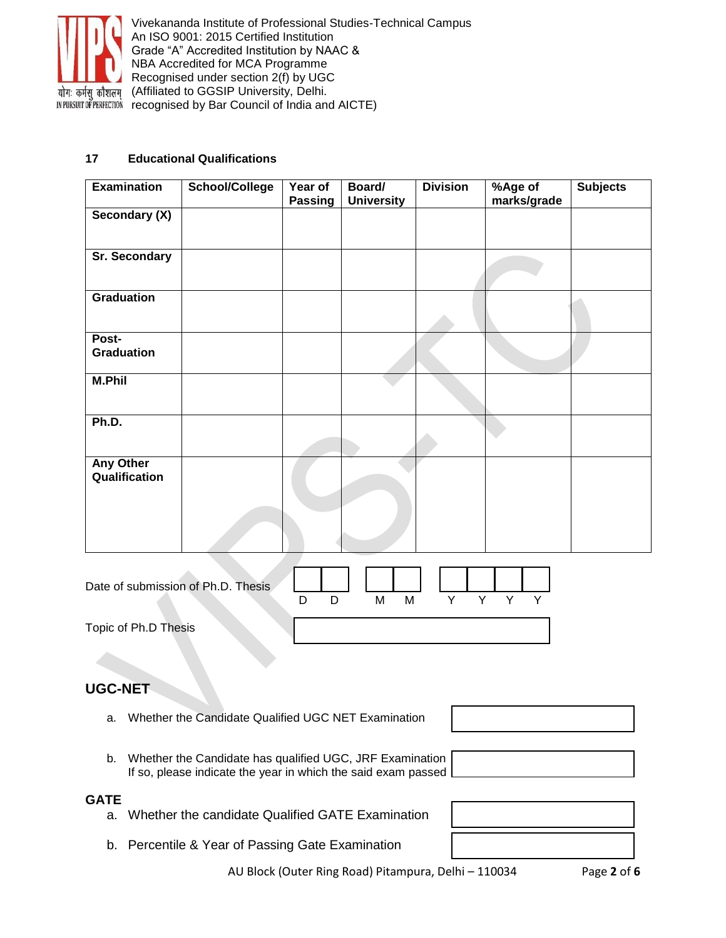

#### **17 Educational Qualifications**

| <b>Examination</b>                | School/College | Year of<br>Passing | Board/<br><b>University</b> | <b>Division</b> | %Age of<br>marks/grade | <b>Subjects</b> |
|-----------------------------------|----------------|--------------------|-----------------------------|-----------------|------------------------|-----------------|
| Secondary (X)                     |                |                    |                             |                 |                        |                 |
| Sr. Secondary                     |                |                    |                             |                 |                        |                 |
| <b>Graduation</b>                 |                |                    |                             |                 |                        |                 |
| Post-<br><b>Graduation</b>        |                |                    |                             |                 |                        |                 |
| <b>M.Phil</b>                     |                |                    |                             |                 |                        |                 |
| Ph.D.                             |                |                    |                             |                 |                        |                 |
| <b>Any Other</b><br>Qualification |                |                    |                             |                 |                        |                 |
|                                   |                |                    |                             |                 |                        |                 |

| Date of submission of Ph.D. Thesis |  |   |   |  |  |  |
|------------------------------------|--|---|---|--|--|--|
|                                    |  | м | M |  |  |  |
| Topic of Ph.D Thesis               |  |   |   |  |  |  |

# **UGC-NET**

- a. Whether the Candidate Qualified UGC NET Examination
- b. Whether the Candidate has qualified UGC, JRF Examination If so, please indicate the year in which the said exam passed

### **GATE**

- a. Whether the candidate Qualified GATE Examination
- b. Percentile & Year of Passing Gate Examination

AU Block (Outer Ring Road) Pitampura, Delhi – 110034 Page **2** of **6**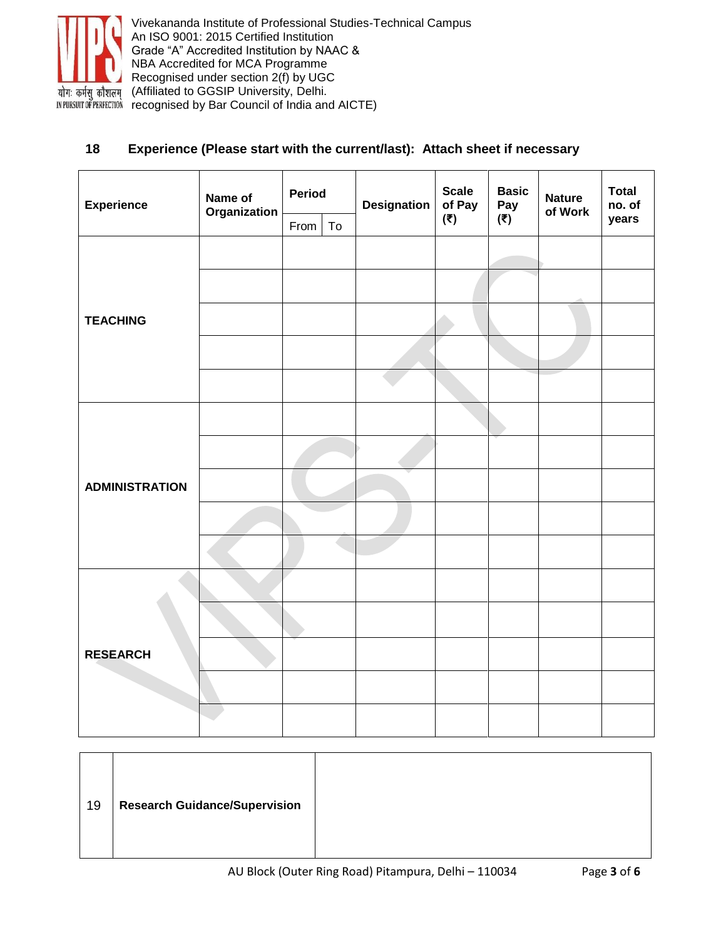

### **18 Experience (Please start with the current/last): Attach sheet if necessary**

| <b>Experience</b>     | Name of<br>Organization | <b>Period</b> | <b>Designation</b> |  | <b>Scale</b><br>of Pay                    | <b>Basic</b><br>Pay | <b>Nature</b><br>of Work | <b>Total</b><br>no. of |  |
|-----------------------|-------------------------|---------------|--------------------|--|-------------------------------------------|---------------------|--------------------------|------------------------|--|
|                       |                         | From          | To                 |  | (₹)<br>$(\overline{\overline{\epsilon}})$ |                     |                          | years                  |  |
|                       |                         |               |                    |  |                                           |                     |                          |                        |  |
|                       |                         |               |                    |  |                                           |                     |                          |                        |  |
| <b>TEACHING</b>       |                         |               |                    |  |                                           |                     |                          |                        |  |
|                       |                         |               |                    |  |                                           |                     |                          |                        |  |
|                       |                         |               |                    |  |                                           |                     |                          |                        |  |
|                       |                         |               |                    |  |                                           |                     |                          |                        |  |
|                       |                         |               |                    |  |                                           |                     |                          |                        |  |
| <b>ADMINISTRATION</b> |                         |               |                    |  |                                           |                     |                          |                        |  |
|                       |                         |               |                    |  |                                           |                     |                          |                        |  |
|                       |                         |               |                    |  |                                           |                     |                          |                        |  |
|                       |                         |               |                    |  |                                           |                     |                          |                        |  |
|                       |                         |               |                    |  |                                           |                     |                          |                        |  |
| <b>RESEARCH</b>       |                         |               |                    |  |                                           |                     |                          |                        |  |
|                       |                         |               |                    |  |                                           |                     |                          |                        |  |
|                       |                         |               |                    |  |                                           |                     |                          |                        |  |

| 19 | <b>Research Guidance/Supervision</b> |  |
|----|--------------------------------------|--|
|    |                                      |  |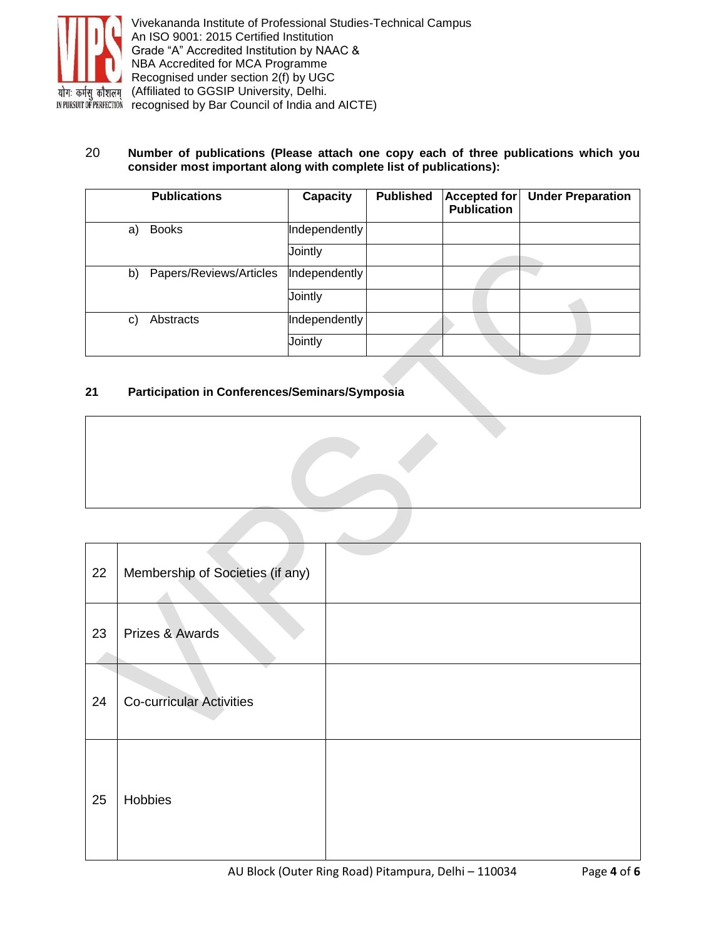

#### 20 **Number of publications (Please attach one copy each of three publications which you consider most important along with complete list of publications):**

|    | <b>Publications</b>     | Capacity      | <b>Published</b> | <b>Accepted for</b><br><b>Publication</b> | <b>Under Preparation</b> |
|----|-------------------------|---------------|------------------|-------------------------------------------|--------------------------|
| a) | <b>Books</b>            | Independently |                  |                                           |                          |
|    |                         | Jointly       |                  |                                           |                          |
| b) | Papers/Reviews/Articles | Independently |                  |                                           |                          |
|    |                         | Jointly       |                  |                                           |                          |
| C) | Abstracts               | Independently |                  |                                           |                          |
|    |                         | Jointly       |                  |                                           |                          |

### **21 Participation in Conferences/Seminars/Symposia**

| 22 | Membership of Societies (if any) |  |
|----|----------------------------------|--|
| 23 | Prizes & Awards                  |  |
| 24 | <b>Co-curricular Activities</b>  |  |
| 25 | Hobbies                          |  |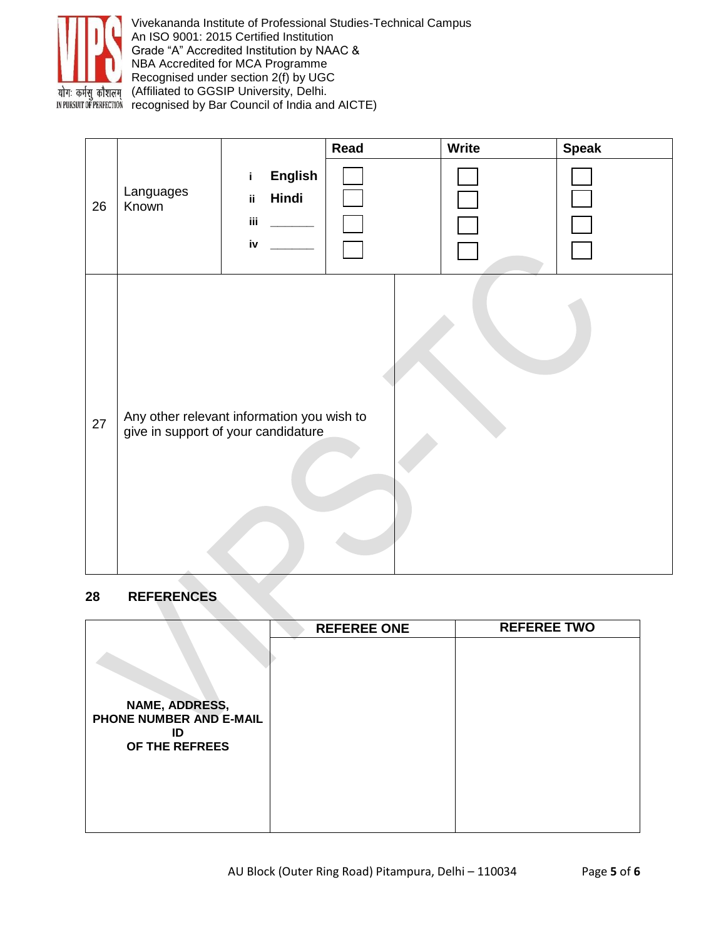

Vivekananda Institute of Professional Studies-Technical Campus An ISO 9001: 2015 Certified Institution Grade "A" Accredited Institution by NAAC & NBA Accredited for MCA Programme Recognised under section 2(f) by UGC (Affiliated to GGSIP University, Delhi. INPURSUIT OF PERFECTION recognised by Bar Council of India and AICTE)

|    |                    |                                                                                   | Read | <b>Write</b> | <b>Speak</b> |
|----|--------------------|-----------------------------------------------------------------------------------|------|--------------|--------------|
| 26 | Languages<br>Known | <b>English</b><br>i.<br>Hindi<br>ij.<br>iii<br>iv                                 |      |              |              |
| 27 |                    | Any other relevant information you wish to<br>give in support of your candidature |      |              |              |

## **28 REFERENCES**

|                               | <b>REFEREE ONE</b> | <b>REFEREE TWO</b> |
|-------------------------------|--------------------|--------------------|
|                               |                    |                    |
|                               |                    |                    |
|                               |                    |                    |
|                               |                    |                    |
| NAME, ADDRESS,                |                    |                    |
| PHONE NUMBER AND E-MAIL<br>ID |                    |                    |
| OF THE REFREES                |                    |                    |
|                               |                    |                    |
|                               |                    |                    |
|                               |                    |                    |
|                               |                    |                    |
|                               |                    |                    |